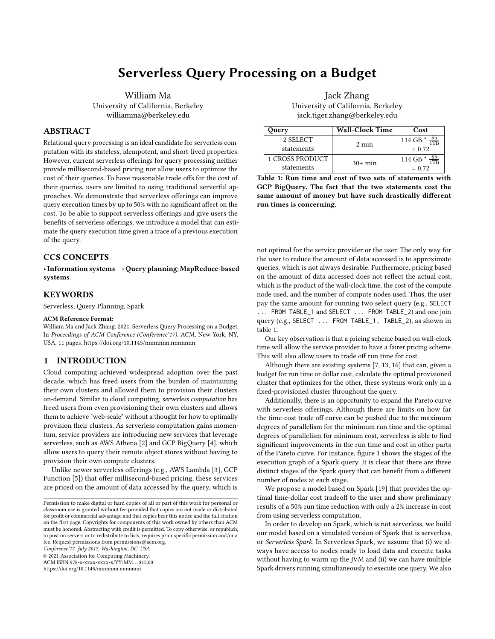# Serverless Query Processing on a Budget

William Ma University of California, Berkeley williamma@berkeley.edu

# ABSTRACT

Relational query processing is an ideal candidate for serverless computation with its stateless, idempotent, and short-lived properties. However, current serverless offerings for query processing neither provide millisecond-based pricing nor allow users to optimize the cost of their queries. To have reasonable trade offs for the cost of their queries, users are limited to using traditional serverful approaches. We demonstrate that serverless offerings can improve query execution times by up to 50% with no significant affect on the cost. To be able to support serverless offerings and give users the benefits of serverless offerings, we introduce a model that can estimate the query execution time given a trace of a previous execution of the query.

# CCS CONCEPTS

•Information systems→Query planning; MapReduce-based systems.

# **KEYWORDS**

Serverless, Query Planning, Spark

### ACM Reference Format:

William Ma and Jack Zhang. 2021. Serverless Query Processing on a Budget. In Proceedings of ACM Conference (Conference'17). ACM, New York, NY, USA, [11](#page-10-0) pages.<https://doi.org/10.1145/nnnnnnn.nnnnnnn>

### 1 INTRODUCTION

Cloud computing achieved widespread adoption over the past decade, which has freed users from the burden of maintaining their own clusters and allowed them to provision their clusters on-demand. Similar to cloud computing, serverless computation has freed users from even provisioning their own clusters and allows them to achieve "web-scale" without a thought for how to optimally provision their clusters. As serverless computation gains momentum, service providers are introducing new services that leverage serverless, such as AWS Athena [\[2\]](#page-9-0) and GCP BigQuery [\[4\]](#page-9-1), which allow users to query their remote object stores without having to provision their own compute clusters.

Unlike newer serverless offerings (e.g., AWS Lambda [\[3\]](#page-9-2), GCP Function [\[5\]](#page-9-3)) that offer millisecond-based pricing, these services are priced on the amount of data accessed by the query, which is

Conference'17, July 2017, Washington, DC, USA

© 2021 Association for Computing Machinery.

ACM ISBN 978-x-xxxx-xxxx-x/YY/MM. . . \$15.00

<https://doi.org/10.1145/nnnnnnn.nnnnnnn>

Jack Zhang University of California, Berkeley jack.tiger.zhang@berkeley.edu

<span id="page-0-0"></span>

| Query           | <b>Wall-Clock Time</b> | Cost                        |
|-----------------|------------------------|-----------------------------|
| 2 SELECT        | $2 \text{ min}$        | 114 GB $*$ $\frac{35}{125}$ |
| statements      |                        | $= 0.72$                    |
| 1 CROSS PRODUCT | $30+$ min              | 114 GB *                    |
| statements      |                        | $= 0.72$                    |

Table 1: Run time and cost of two sets of statements with GCP BigQuery. The fact that the two statements cost the same amount of money but have such drastically different run times is concerning.

not optimal for the service provider or the user. The only way for the user to reduce the amount of data accessed is to approximate queries, which is not always desirable. Furthermore, pricing based on the amount of data accessed does not reflect the actual cost, which is the product of the wall-clock time, the cost of the compute node used, and the number of compute nodes used. Thus, the user pay the same amount for running two select query (e.g., SELECT ... FROM TABLE\_1 and SELECT ... FROM TABLE\_2) and one join query (e.g., SELECT ... FROM TABLE\_1, TABLE\_2), as shown in table [1.](#page-0-0)

Our key observation is that a pricing scheme based on wall-clock time will allow the service provider to have a fairer pricing scheme. This will also allow users to trade off run time for cost.

Although there are existing systems [\[7,](#page-9-4) [13,](#page-9-5) [16\]](#page-9-6) that can, given a budget for run time or dollar cost, calculate the optimal provisioned cluster that optimizes for the other, these systems work only in a fixed-provisioned cluster throughout the query.

Additionally, there is an opportunity to expand the Pareto curve with serverless offerings. Although there are limits on how far the time-cost trade off curve can be pushed due to the maximum degrees of parallelism for the minimum run time and the optimal degrees of parallelism for minimum cost, serverless is able to find significant improvements in the run time and cost in other parts of the Pareto curve. For instance, figure [1](#page-1-0) shows the stages of the execution graph of a Spark query. It is clear that there are three distinct stages of the Spark query that can benefit from a different number of nodes at each stage.

We propose a model based on Spark [\[19\]](#page-10-1) that provides the optimal time-dollar cost tradeoff to the user and show preliminary results of a 50% run time reduction with only a 2% increase in cost from using serverless computation.

In order to develop on Spark, which is not serverless, we build our model based on a simulated version of Spark that is serverless, or Serverless Spark. In Serverless Spark, we assume that (i) we always have access to nodes ready to load data and execute tasks without having to warm up the JVM and (ii) we can have multiple Spark drivers running simultaneously to execute one query. We also

Permission to make digital or hard copies of all or part of this work for personal or classroom use is granted without fee provided that copies are not made or distributed for profit or commercial advantage and that copies bear this notice and the full citation on the first page. Copyrights for components of this work owned by others than ACM must be honored. Abstracting with credit is permitted. To copy otherwise, or republish, to post on servers or to redistribute to lists, requires prior specific permission and/or a fee. Request permissions from permissions@acm.org.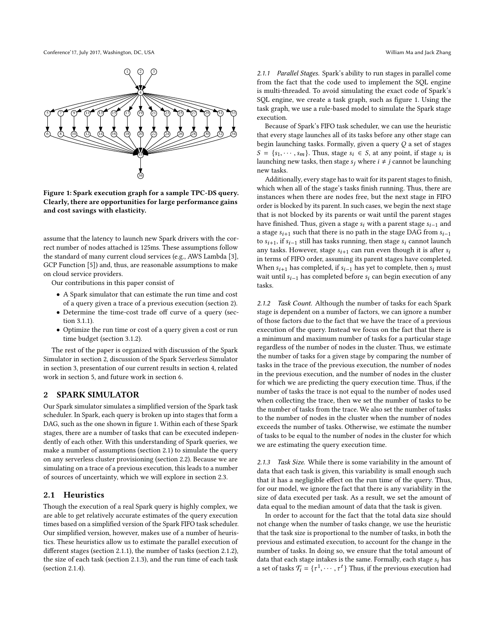<span id="page-1-0"></span>

### Figure 1: Spark execution graph for a sample TPC-DS query. Clearly, there are opportunities for large performance gains and cost savings with elasticity.

assume that the latency to launch new Spark drivers with the correct number of nodes attached is 125ms. These assumptions follow the standard of many current cloud services (e.g., AWS Lambda [\[3\]](#page-9-2), GCP Function [\[5\]](#page-9-3)) and, thus, are reasonable assumptions to make on cloud service providers.

Our contributions in this paper consist of

- A Spark simulator that can estimate the run time and cost of a query given a trace of a previous execution (section [2\)](#page-1-1).
- Determine the time-cost trade off curve of a query (section [3.1.1\)](#page-4-0).
- Optimize the run time or cost of a query given a cost or run time budget (section [3.1.2\)](#page-4-1).

The rest of the paper is organized with discussion of the Spark Simulator in section [2,](#page-1-1) discussion of the Spark Serverless Simulator in section [3,](#page-4-2) presentation of our current results in section [4,](#page-5-0) related work in section [5,](#page-7-0) and future work in section [6.](#page-9-7)

# <span id="page-1-1"></span>2 SPARK SIMULATOR

Our Spark simulator simulates a simplified version of the Spark task scheduler. In Spark, each query is broken up into stages that form a DAG, such as the one shown in figure [1.](#page-1-0) Within each of these Spark stages, there are a number of tasks that can be executed independently of each other. With this understanding of Spark queries, we make a number of assumptions (section [2.1\)](#page-1-2) to simulate the query on any serverless cluster provisioning (section [2.2\)](#page-2-0). Because we are simulating on a trace of a previous execution, this leads to a number of sources of uncertainty, which we will explore in section [2.3.](#page-2-1)

# <span id="page-1-2"></span>2.1 Heuristics

Though the execution of a real Spark query is highly complex, we are able to get relatively accurate estimates of the query execution times based on a simplified version of the Spark FIFO task scheduler. Our simplified version, however, makes use of a number of heuristics. These heuristics allow us to estimate the parallel execution of different stages (section [2.1.1\)](#page-1-3), the number of tasks (section [2.1.2\)](#page-1-4), the size of each task (section [2.1.3\)](#page-1-5), and the run time of each task (section [2.1.4\)](#page-2-2).

<span id="page-1-3"></span>2.1.1 Parallel Stages. Spark's ability to run stages in parallel come from the fact that the code used to implement the SQL engine is multi-threaded. To avoid simulating the exact code of Spark's SQL engine, we create a task graph, such as figure [1.](#page-1-0) Using the task graph, we use a rule-based model to simulate the Spark stage execution.

Because of Spark's FIFO task scheduler, we can use the heuristic that every stage launches all of its tasks before any other stage can begin launching tasks. Formally, given a query Q a set of stages  $S = \{s_1, \dots, s_m\}$ . Thus, stage  $s_i \in S$ , at any point, if stage  $s_i$  is<br>launching new tasks, then stage surhere  $i \neq i$  cannot be launching launching new tasks, then stage  $s_i$  where  $i \neq j$  cannot be launching new tasks.

Additionally, every stage has to wait for its parent stages to finish, which when all of the stage's tasks finish running. Thus, there are instances when there are nodes free, but the next stage in FIFO order is blocked by its parent. In such cases, we begin the next stage that is not blocked by its parents or wait until the parent stages have finished. Thus, given a stage  $s_i$  with a parent stage  $s_{i-1}$  and a stage  $s_{i+1}$  such that there is no path in the stage DAG from  $s_{i-1}$ to  $s_{i+1}$ , if  $s_{i-1}$  still has tasks running, then stage  $s_i$  cannot launch any tasks. However, stage  $s_{i+1}$  can run even though it is after  $s_i$ in terms of FIFO order, assuming its parent stages have completed. When  $s_{i+1}$  has completed, if  $s_{i-1}$  has yet to complete, then  $s_i$  must wait until  $s_{i-1}$  has completed before  $s_i$  can begin execution of any tasks.

<span id="page-1-4"></span>2.1.2 Task Count. Although the number of tasks for each Spark stage is dependent on a number of factors, we can ignore a number of those factors due to the fact that we have the trace of a previous execution of the query. Instead we focus on the fact that there is a minimum and maximum number of tasks for a particular stage regardless of the number of nodes in the cluster. Thus, we estimate the number of tasks for a given stage by comparing the number of tasks in the trace of the previous execution, the number of nodes in the previous execution, and the number of nodes in the cluster for which we are predicting the query execution time. Thus, if the number of tasks the trace is not equal to the number of nodes used when collecting the trace, then we set the number of tasks to be the number of tasks from the trace. We also set the number of tasks to the number of nodes in the cluster when the number of nodes exceeds the number of tasks. Otherwise, we estimate the number of tasks to be equal to the number of nodes in the cluster for which we are estimating the query execution time.

<span id="page-1-5"></span>2.1.3 Task Size. While there is some variability in the amount of data that each task is given, this variability is small enough such that it has a negligible effect on the run time of the query. Thus, for our model, we ignore the fact that there is any variability in the size of data executed per task. As a result, we set the amount of data equal to the median amount of data that the task is given.

In order to account for the fact that the total data size should not change when the number of tasks change, we use the heuristic that the task size is proportional to the number of tasks, in both the previous and estimated execution, to account for the change in the number of tasks. In doing so, we ensure that the total amount of data that each stage intakes is the same. Formally, each stage  $s_i$  has a set of tasks  $\mathcal{T}_i = \{\tau^1, \cdots, \tau^t\}$  Thus, if the previous execution had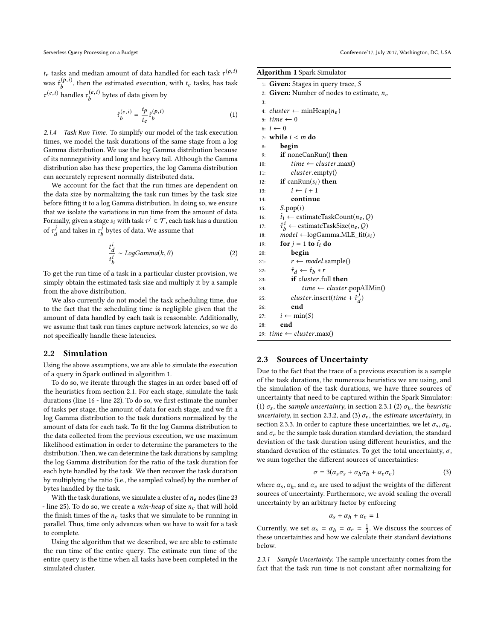$t_e$  tasks and median amount of data handled for each task  $\tau^{(p,i)}$ was  $\hat{\tau}_b^{(p,i)}$ , then the estimated execution, with  $t_e$  tasks, has task  $\tau^{(e,i)}$  handles  $\tau_b^{(e,i)}$  bytes of data given by

$$
\hat{\tau}_b^{(e,i)} = \frac{t_p}{t_e} \hat{\tau}_b^{(p,i)} \tag{1}
$$

<span id="page-2-2"></span>2.1.4 Task Run Time. To simplify our model of the task execution times, we model the task durations of the same stage from a log Gamma distribution. We use the log Gamma distribution because of its nonnegativity and long and heavy tail. Although the Gamma distribution also has these properties, the log Gamma distribution can accurately represent normally distributed data.

We account for the fact that the run times are dependent on the data size by normalizing the task run times by the task size before fitting it to a log Gamma distribution. In doing so, we ensure that we isolate the variations in run time from the amount of data. Formally, given a stage  $s_i$  with task  $\tau^j \in \mathcal{T}$ , each task has a duration of  $\tau_d^j$  $\frac{d}{dt}$  and takes in  $\tau_b^j$  $\begin{bmatrix} 1 \\ b \end{bmatrix}$  bytes of data. We assume that

$$
\frac{t_d^i}{t_b^i} \sim LogGamma(k, \theta)
$$
 (2)

To get the run time of a task in a particular cluster provision, we simply obtain the estimated task size and multiply it by a sample from the above distribution.

We also currently do not model the task scheduling time, due to the fact that the scheduling time is negligible given that the amount of data handled by each task is reasonable. Additionally, we assume that task run times capture network latencies, so we do not specifically handle these latencies.

### <span id="page-2-0"></span>2.2 Simulation

Using the above assumptions, we are able to simulate the execution of a query in Spark outlined in algorithm [1.](#page-2-3)

To do so, we iterate through the stages in an order based off of the heuristics from section [2.1.](#page-1-2) For each stage, simulate the task durations (line [16](#page-2-3) - line [22\)](#page-2-3). To do so, we first estimate the number of tasks per stage, the amount of data for each stage, and we fit a log Gamma distribution to the task durations normalized by the amount of data for each task. To fit the log Gamma distribution to the data collected from the previous execution, we use maximum likelihood estimation in order to determine the parameters to the distribution. Then, we can determine the task durations by sampling the log Gamma distribution for the ratio of the task duration for each byte handled by the task. We then recover the task duration by multiplying the ratio (i.e., the sampled valued) by the number of bytes handled by the task.

With the task durations, we simulate a cluster of  $n_e$  nodes (line [23](#page-2-3) - line [25\)](#page-2-3). To do so, we create a *min-heap* of size  $n_e$  that will hold the finish times of the  $n_e$  tasks that we simulate to be running in parallel. Thus, time only advances when we have to wait for a task to complete.

Using the algorithm that we described, we are able to estimate the run time of the entire query. The estimate run time of the entire query is the time when all tasks have been completed in the simulated cluster.

<span id="page-2-3"></span>

| <b>Algorithm 1 Spark Simulator</b> |  |  |
|------------------------------------|--|--|
|------------------------------------|--|--|

| <i><b>Algorithm I</b></i> opain omnumor                             |  |  |  |  |
|---------------------------------------------------------------------|--|--|--|--|
| 1: Given: Stages in query trace, $S$                                |  |  |  |  |
| 2: <b>Given:</b> Number of nodes to estimate, $n_e$                 |  |  |  |  |
| 3:                                                                  |  |  |  |  |
| 4: <i>cluster</i> $\leftarrow$ minHeap( $n_e$ )                     |  |  |  |  |
| 5: $time \leftarrow 0$                                              |  |  |  |  |
| $6: i \leftarrow 0$                                                 |  |  |  |  |
| 7: while $i < m$ do                                                 |  |  |  |  |
| begin<br>8:                                                         |  |  |  |  |
| <b>if</b> noneCanRun() then<br>9:                                   |  |  |  |  |
| $time \leftarrow cluster.max()$<br>10:                              |  |  |  |  |
| cluster.empty()<br>11:                                              |  |  |  |  |
| <b>if</b> canRun( $s_i$ ) <b>then</b><br>12:                        |  |  |  |  |
| $i \leftarrow i + 1$<br>13:                                         |  |  |  |  |
| continue<br>14:                                                     |  |  |  |  |
| S.pop(i)<br>15:                                                     |  |  |  |  |
| $\hat{t}_i \leftarrow$ estimateTaskCount $(n_e, Q)$<br>16:          |  |  |  |  |
| $\hat{\tau}_{h}^{i} \leftarrow$ estimateTaskSize( $n_e, Q$ )<br>17: |  |  |  |  |
| $model \leftarrow logGamma.MLE_{it}(s_i)$<br>18:                    |  |  |  |  |
| for $j = 1$ to $\hat{t}_i$ do<br>19:                                |  |  |  |  |
| begin<br>20:                                                        |  |  |  |  |
| $r \leftarrow model$ sample()<br>21:                                |  |  |  |  |
| $\hat{\tau}_d \leftarrow \hat{\tau}_h * r$<br>22:                   |  |  |  |  |
| if cluster.full then<br>23:                                         |  |  |  |  |
| $time \leftarrow cluster.popAllMin()$<br>24:                        |  |  |  |  |
| <i>cluster</i> .insert( <i>time</i> + $\hat{\tau}_d^j$ )<br>25:     |  |  |  |  |
| end<br>26:                                                          |  |  |  |  |
| $i \leftarrow min(S)$<br>27:                                        |  |  |  |  |
| end<br>28:                                                          |  |  |  |  |
| 29: $time \leftarrow cluster.max()$                                 |  |  |  |  |
|                                                                     |  |  |  |  |

# <span id="page-2-1"></span>2.3 Sources of Uncertainty

Due to the fact that the trace of a previous execution is a sample of the task durations, the numerous heuristics we are using, and the simulation of the task durations, we have three sources of uncertainty that need to be captured within the Spark Simulator: (1)  $\sigma_s$ , the sample uncertainty, in section [2.3.1](#page-2-4) (2)  $\sigma_h$ , the heuristic uncertainty, in section [2.3.2,](#page-3-0) and (3)  $\sigma_e$ , the estimate uncertainty, in section [2.3.3.](#page-3-1) In order to capture these uncertainties, we let  $\sigma_s$ ,  $\sigma_h$ , and  $\sigma_e$  be the sample task duration standard deviation, the standard deviation of the task duration using different heuristics, and the standard devation of the estimates. To get the total uncertainty,  $\sigma$ , we sum together the different sources of uncertainties:

$$
\sigma = 3(\alpha_s \sigma_s + \alpha_h \sigma_h + \alpha_e \sigma_e) \tag{3}
$$

where  $\alpha_s$ ,  $\alpha_h$ , and  $\alpha_e$  are used to adjust the weights of the different sources of uncertainty. Furthermore, we avoid scaling the overall uncertainty by an arbitrary factor by enforcing

$$
\alpha_s + \alpha_h + \alpha_e = 1
$$

Currently, we set  $\alpha_s = \alpha_h = \alpha_e = \frac{1}{3}$ . We discuss the sources of these uncertainties and how we calculate their standard deviations these uncertainties and how we calculate their standard deviations below.

<span id="page-2-4"></span>2.3.1 Sample Uncertainty. The sample uncertainty comes from the fact that the task run time is not constant after normalizing for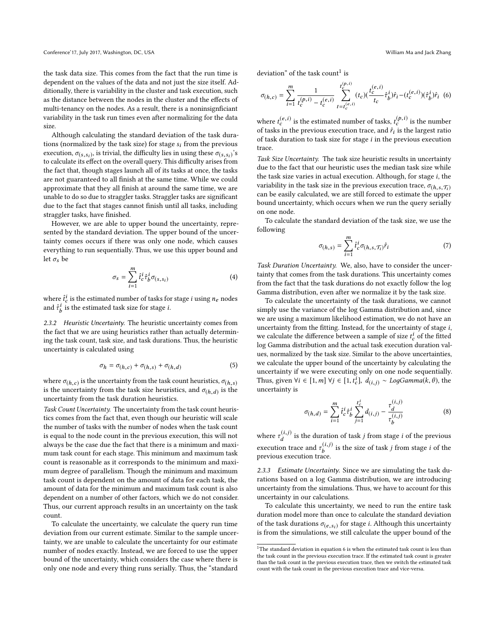Conference'17, July 2017, Washington, DC, USA William Ma and Jack Zhang

the task data size. This comes from the fact that the run time is dependent on the values of the data and not just the size itself. Additionally, there is variability in the cluster and task execution, such as the distance between the nodes in the cluster and the effects of multi-tenancy on the nodes. As a result, there is a noninsignficiant variability in the task run times even after normalizing for the data size.

Although calculating the standard deviation of the task durations (normalized by the task size) for stage  $s_i$  from the previous execution,  $\sigma_{(s,s_i)}$ , is trivial, the difficulty lies in using these  $\sigma_{(s,s_i)}$ 's<br>to calculate its effect on the overall query. This difficulty arises from to calculate its effect on the overall query. This difficulty arises from the fact that, though stages launch all of its tasks at once, the tasks are not guaranteed to all finish at the same time. While we could approximate that they all finish at around the same time, we are unable to do so due to straggler tasks. Straggler tasks are significant due to the fact that stages cannot finish until all tasks, including straggler tasks, have finished.

However, we are able to upper bound the uncertainty, represented by the standard deviation. The upper bound of the uncertainty comes occurs if there was only one node, which causes everything to run sequentially. Thus, we use this upper bound and let  $\sigma_s$  be

$$
\sigma_s = \sum_{i=1}^m \hat{t}_c^i \hat{\tau}_b^i \sigma_{(s,s_i)}
$$
(4)

where  $\hat{t}_c^i$  is the estimated number of tasks for stage *i* using  $n_e$  nodes and  $\hat{\tau}^i_b$  is the estimated task size for stage *i*.

<span id="page-3-0"></span>2.3.2 Heuristic Uncertainty. The heuristic uncertainty comes from the fact that we are using heuristics rather than actually determining the task count, task size, and task durations. Thus, the heuristic uncertainty is calculated using

$$
\sigma_h = \sigma_{(h,c)} + \sigma_{(h,s)} + \sigma_{(h,d)} \tag{5}
$$

where  $\sigma_{(h,c)}$  is the uncertainty from the task count heuristics,  $\sigma_{(h,s)}$ <br>is the uncertainty from the task size heuristics, and  $\sigma_{(h,s)}$  is the is the uncertainty from the task size heuristics, and  $\sigma(h,d)$  is the uncertainty from the task duration heuristics uncertainty from the task duration heuristics.

Task Count Uncertainty. The uncertainty from the task count heuristics comes from the fact that, even though our heuristic will scale the number of tasks with the number of nodes when the task count is equal to the node count in the previous execution, this will not always be the case due the fact that there is a minimum and maximum task count for each stage. This minimum and maximum task count is reasonable as it corresponds to the minimum and maximum degree of parallelism. Though the minimum and maximum task count is dependent on the amount of data for each task, the amount of data for the minimum and maximum task count is also dependent on a number of other factors, which we do not consider. Thus, our current approach results in an uncertainty on the task count.

To calculate the uncertainty, we calculate the query run time deviation from our current estimate. Similar to the sample uncertainty, we are unable to calculate the uncertainty for our estimate number of nodes exactly. Instead, we are forced to use the upper bound of the uncertainty, which considers the case where there is only one node and every thing runs serially. Thus, the "standard

deviation" of the task count<sup>[1](#page-3-2)</sup> is

<span id="page-3-3"></span>
$$
\sigma_{(h,c)} = \sum_{i=1}^{m} \frac{1}{t_c^{(p,i)} - t_c^{(e,i)}} \sum_{t=t_c^{(e,i)}}^{t_c^{(p,i)}} (t_c) (\frac{t_c^{(e,i)}}{t_c} \hat{\tau}_b^i) \hat{r}_i - (t_c^{(e,i)}) (\hat{\tau}_b^i) \hat{r}_i
$$
(6)

where  $t_c^{(e,i)}$  is the estimated number of tasks,  $t_c^{(p,i)}$  is the number<br>of tasks in the previous execution trace, and  $\hat{\epsilon}$  is the largest ratio of tasks in the previous execution trace, and  $\hat{r}_i$  is the largest ratio<br>of task duration to task size for stage i in the previous execution of task duration to task size for stage  $i$  in the previous execution trace.

Task Size Uncertainty. The task size heuristic results in uncertainty due to the fact that our heuristic uses the median task size while the task size varies in actual execution. Although, for stage  $i$ , the variability in the task size in the previous execution trace,  $\sigma_{(h,s,\mathcal{T}_i)}$ can be easily calculated, we are still forced to estimate the upper bound uncertainty, which occurs when we run the query serially on one node.

To calculate the standard deviation of the task size, we use the following

$$
\sigma_{(h,s)} = \sum_{i=1}^{m} \hat{t}_c^i \sigma_{(h,s,\mathcal{T}_i)} \hat{r}_i \tag{7}
$$

Task Duration Uncertainty. We, also, have to consider the uncertainty that comes from the task durations. This uncertainty comes from the fact that the task durations do not exactly follow the log Gamma distribution, even after we normalize it by the task size.

To calculate the uncertainty of the task durations, we cannot simply use the variance of the log Gamma distribution and, since we are using a maximum likelihood estimation, we do not have an uncertainty from the fitting. Instead, for the uncertainty of stage i, we calculate the difference between a sample of size  $t_c^i$  of the fitted<br>log Camma distribution and the actual task execution duration value log Gamma distribution and the actual task execution duration values, normalized by the task size. Similar to the above uncertainties, we calculate the upper bound of the uncertainty by calculating the uncertainty if we were executing only on one node sequentially. Thus, given  $\forall i \in [1, m] \ \forall j \in [1, t_c^i], \ d_{(i,j)} \sim LogGamma(k, \theta),$  the uncertainty is uncertainty is

$$
\sigma_{(h,d)} = \sum_{i=1}^{m} \hat{t}_c^i \hat{\tau}_b^i \sum_{j=1}^{t_c^i} d_{(i,j)} - \frac{\tau_d^{(i,j)}}{\tau_b^{(i,j)}}
$$
(8)

where  $\tau_d^{(i,j)}$  is the duration of task *j* from stage *i* of the previous execution trace and  $\tau_b^{(i,j)}$  is the size of task *j* from stage *i* of the previous execution trace.

<span id="page-3-1"></span>2.3.3 Estimate Uncertainty. Since we are simulating the task durations based on a log Gamma distribution, we are introducing uncertainty from the simulations. Thus, we have to account for this uncertainty in our calculations.

To calculate this uncertainty, we need to run the entire task duration model more than once to calculate the standard deviation of the task durations  $\sigma_{(e,s_i)}$  for stage *i*. Although this uncertainty<br>is from the simulations, we still calculate the unner bound of the is from the simulations, we still calculate the upper bound of the

<span id="page-3-2"></span> $^{\rm 1}{\rm The}$  standard deviation in equation [6](#page-3-3) is when the estimated task count is less than the task count in the previous execution trace. If the estimated task count is greater than the task count in the previous execution trace, then we switch the estimated task count with the task count in the previous execution trace and vice-versa.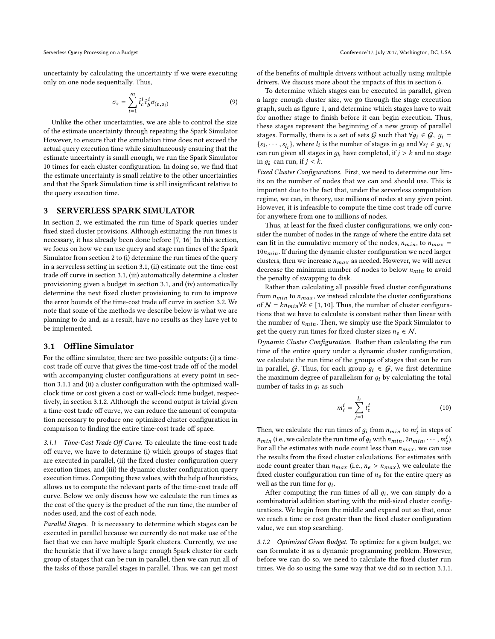uncertainty by calculating the uncertainty if we were executing only on one node sequentially. Thus,

$$
\sigma_s = \sum_{i=1}^m \hat{t}_c^i \hat{\tau}_b^i \sigma_{(e,s_i)}
$$
\n(9)

Unlike the other uncertainties, we are able to control the size of the estimate uncertainty through repeating the Spark Simulator. However, to ensure that the simulation time does not exceed the actual query execution time while simultaneously ensuring that the estimate uncertainty is small enough, we run the Spark Simulator 10 times for each cluster configuration. In doing so, we find that the estimate uncertainty is small relative to the other uncertainties and that the Spark Simulation time is still insignificant relative to the query execution time.

### <span id="page-4-2"></span>3 SERVERLESS SPARK SIMULATOR

In section [2,](#page-1-1) we estimated the run time of Spark queries under fixed sized cluster provisions. Although estimating the run times is necessary, it has already been done before [\[7,](#page-9-4) [16\]](#page-9-6) In this section, we focus on how we can use query and stage run times of the Spark Simulator from section [2](#page-1-1) to (i) determine the run times of the query in a serverless setting in section [3.1,](#page-4-3) (ii) estimate out the time-cost trade off curve in section [3.1,](#page-4-3) (iii) automatically determine a cluster provisioning given a budget in section [3.1,](#page-4-3) and (iv) automatically determine the next fixed cluster provisioning to run to improve the error bounds of the time-cost trade off curve in section [3.2.](#page-5-1) We note that some of the methods we describe below is what we are planning to do and, as a result, have no results as they have yet to be implemented.

# <span id="page-4-3"></span>3.1 Offline Simulator

For the offline simulator, there are two possible outputs: (i) a timecost trade off curve that gives the time-cost trade off of the model with accompanying cluster configurations at every point in section [3.1.1](#page-4-0) and (ii) a cluster configuration with the optimized wallclock time or cost given a cost or wall-clock time budget, respectively, in section [3.1.2.](#page-4-1) Although the second output is trivial given a time-cost trade off curve, we can reduce the amount of computation necessary to produce one optimized cluster configuration in comparison to finding the entire time-cost trade off space.

<span id="page-4-0"></span>3.1.1 Time-Cost Trade Off Curve. To calculate the time-cost trade off curve, we have to determine (i) which groups of stages that are executed in parallel, (ii) the fixed cluster configuration query execution times, and (iii) the dynamic cluster configuration query execution times. Computing these values, with the help of heuristics, allows us to compute the relevant parts of the time-cost trade off curve. Below we only discuss how we calculate the run times as the cost of the query is the product of the run time, the number of nodes used, and the cost of each node.

Parallel Stages. It is necessary to determine which stages can be executed in parallel because we currently do not make use of the fact that we can have multiple Spark clusters. Currently, we use the heuristic that if we have a large enough Spark cluster for each group of stages that can be run in parallel, then we can run all of the tasks of those parallel stages in parallel. Thus, we can get most

Serverless Query Processing on a Budget Conference'17, July 2017, Washington, DC, USA

of the benefits of multiple drivers without actually using multiple drivers. We discuss more about the impacts of this in section [6.](#page-9-7)

To determine which stages can be executed in parallel, given a large enough cluster size, we go through the stage execution graph, such as figure [1,](#page-1-0) and determine which stages have to wait for another stage to finish before it can begin execution. Thus, these stages represent the beginning of a new group of parallel stages. Formally, there is a set of sets G such that  $\forall g_i \in G$ ,  $g_i =$  $\{s_1, \dots, s_{l_i}\}\$ , where  $l_i$  is the number of stages in  $g_i$  and  $\forall s_j \in g_i$ ,  $s_j$  can run given all stages in  $g_i$ , bave completed if  $i > k$  and no stage can run given all stages in  $q_k$  have completed, if  $j > k$  and no stage in  $g_k$  can run, if  $j < k$ .

Fixed Cluster Configurations. First, we need to determine our limits on the number of nodes that we can and should use. This is important due to the fact that, under the serverless computation regime, we can, in theory, use millions of nodes at any given point. However, it is infeasible to compute the time cost trade off curve for anywhere from one to millions of nodes.

Thus, at least for the fixed cluster configurations, we only consider the number of nodes in the range of where the entire data set can fit in the cumulative memory of the nodes,  $n_{min}$ , to  $n_{max}$  =  $10n_{min}$ . If during the dynamic cluster configuration we need larger clusters, then we increase  $n_{max}$  as needed. However, we will never decrease the minimum number of nodes to below  $n_{min}$  to avoid the penalty of swapping to disk.

Rather than calculating all possible fixed cluster configurations from  $n_{min}$  to  $n_{max}$ , we instead calculate the cluster configurations of  $N = kn_{min} \forall k \in [1, 10]$ . Thus, the number of cluster configurations that we have to calculate is constant rather than linear with the number of  $n_{min}$ . Then, we simply use the Spark Simulator to get the query run times for fixed cluster sizes  $n_e \in \mathcal{N}$ .

Dynamic Cluster Configuration. Rather than calculating the run time of the entire query under a dynamic cluster configuration, we calculate the run time of the groups of stages that can be run in parallel, G. Thus, for each group  $q_i \in G$ , we first determine the maximum degree of parallelism for  $g_i$  by calculating the total number of tasks in  $g_i$  as such

$$
m_t^i = \sum_{j=1}^{l_t} t_c^i \tag{10}
$$

Then, we calculate the run times of  $g_i$  from  $n_{min}$  to  $m_i^i$  in steps of  $n_{min}$  (i.e., we calculate the run time of  $g_i$  with  $n_{min}$ ,  $2n_{min}$ ,  $\cdots$ ,  $m_t^i$ ).<br>For all the estimates with node count less than  $n_i$ , we can use For all the estimates with node count less than  $n_{max}$ , we can use the results from the fixed cluster calculations. For estimates with node count greater than  $n_{max}$  (i.e.,  $n_e > n_{max}$ ), we calculate the fixed cluster configuration run time of  $n_e$  for the entire query as well as the run time for  $g_i$ .<br>After computing the run

After computing the run times of all  $g_i$ , we can simply do a mbinatorial addition starting with the mid-sized cluster configu combinatorial addition starting with the mid-sized cluster configurations. We begin from the middle and expand out so that, once we reach a time or cost greater than the fixed cluster configuration value, we can stop searching.

<span id="page-4-1"></span>3.1.2 Optimized Given Budget. To optimize for a given budget, we can formulate it as a dynamic programming problem. However, before we can do so, we need to calculate the fixed cluster run times. We do so using the same way that we did so in section [3.1.1.](#page-4-0)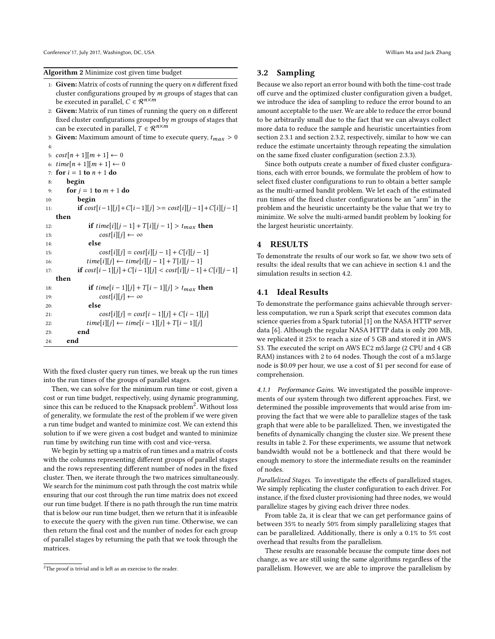### Algorithm 2 Minimize cost given time budget

- 1: Given: Matrix of costs of running the query on  $n$  different fixed cluster configurations grouped by  $m$  groups of stages that can be executed in parallel,  $C \in \mathcal{R}^{n \times m}$
- 2: Given: Matrix of run times of running the query on  $n$  different fixed cluster configurations grouped by  $m$  groups of stages that can be executed in parallel,  $T \in \mathcal{R}^{n \times m}$
- 3: Given: Maximum amount of time to execute query,  $t_{max} > 0$

4: 5:  $cost[n + 1][m + 1] \leftarrow 0$ 6:  $time[n+1][m+1] \leftarrow 0$ 7: for  $i = 1$  to  $n + 1$  do <br>8: begin begin 9: for  $j = 1$  to  $m + 1$  do begin **begin** 11: **if**  $cost[i-1][j] + C[i-1][j] \geq cost[i][j-1] + C[i][j-1]$ then 12: **if**  $time[i][j-1] + T[i][j-1] > t_{max}$  then<br>13:  $cost[i][j] \leftarrow \infty$ 13:  $cost[i][j] \leftarrow \infty$ <br>14: **else** else 15:  $cost[i][j] = cost[i][j - 1] + C[i][j - 1]$ <br>16:  $time[i][i] \leftarrow time[i][i - 1] + T[i][i - 1]$ 16:  $time[i][j] \leftarrow time[i][j-1] + T[i][j-1]$ <br>17:  $\textbf{if } cost[i-1][j] + C[i-1][j] < cost[i][j-1]$ **if**  $cost[i - 1][j] + C[i - 1][j] < cost[i][j - 1] + C[i][j - 1]$ then 18: **if**  $time[i - 1][j] + T[i - 1][j] > t_{max}$  then<br>  $cost[i][j] \leftarrow \infty$ 19:  $cost[i][j] \leftarrow \infty$ <br>20: else else 21:  $cost[i][j] = cost[i-1][j] + C[i-1][j]$ <br>
22:  $time[i][j] \leftarrow time[i-1][j] + T[i-1][j]$ 22:  $time[i][j] \leftarrow time[i-1][j] + T[i-1][j]$ <br>23: **end** end 24: end

With the fixed cluster query run times, we break up the run times into the run times of the groups of parallel stages.

Then, we can solve for the minimum run time or cost, given a cost or run time budget, respectively, using dynamic programming, since this can be reduced to the Knapsack problem<sup>[2](#page-5-2)</sup>. Without loss of generality, we formulate the rest of the problem if we were given a run time budget and wanted to minimize cost. We can extend this solution to if we were given a cost budget and wanted to minimize run time by switching run time with cost and vice-versa.

We begin by setting up a matrix of run times and a matrix of costs with the columns representing different groups of parallel stages and the rows representing different number of nodes in the fixed cluster. Then, we iterate through the two matrices simultaneously. We search for the minimum cost path through the cost matrix while ensuring that our cost through the run time matrix does not exceed our run time budget. If there is no path through the run time matrix that is below our run time budget, then we return that it is infeasible to execute the query with the given run time. Otherwise, we can then return the final cost and the number of nodes for each group of parallel stages by returning the path that we took through the matrices.

### <span id="page-5-1"></span>3.2 Sampling

Because we also report an error bound with both the time-cost trade off curve and the optimized cluster configuration given a budget, we introduce the idea of sampling to reduce the error bound to an amount acceptable to the user. We are able to reduce the error bound to be arbitrarily small due to the fact that we can always collect more data to reduce the sample and heuristic uncertainties from section [2.3.1](#page-2-4) and section [2.3.2,](#page-3-0) respectively, similar to how we can reduce the estimate uncertainty through repeating the simulation on the same fixed cluster configuration (section [2.3.3\)](#page-3-1).

Since both outputs create a number of fixed cluster configurations, each with error bounds, we formulate the problem of how to select fixed cluster configurations to run to obtain a better sample as the multi-armed bandit problem. We let each of the estimated run times of the fixed cluster configurations be an "arm" in the problem and the heuristic uncertainty be the value that we try to minimize. We solve the multi-armed bandit problem by looking for the largest heuristic uncertainty.

# <span id="page-5-0"></span>4 RESULTS

To demonstrate the results of our work so far, we show two sets of results: the ideal results that we can achieve in section [4.1](#page-5-3) and the simulation results in section [4.2.](#page-7-1)

# <span id="page-5-3"></span>4.1 Ideal Results

To demonstrate the performance gains achievable through serverless computation, we run a Spark script that executes common data science queries from a Spark tutorial [\[1\]](#page-9-8) on the NASA HTTP server data [\[6\]](#page-9-9). Although the regular NASA HTTP data is only 200 MB, we replicated it 25× to reach a size of 5 GB and stored it in AWS S3. The executed the script on AWS EC2 m5.large (2 CPU and 4 GB RAM) instances with 2 to 64 nodes. Though the cost of a m5.large node is \$0.09 per hour, we use a cost of \$1 per second for ease of comprehension.

4.1.1 Performance Gains. We investigated the possible improvements of our system through two different approaches. First, we determined the possible improvements that would arise from improving the fact that we were able to parallelize stages of the task graph that were able to be parallelized. Then, we investigated the benefits of dynamically changing the cluster size. We present these results in table [2.](#page-6-0) For these experiments, we assume that network bandwidth would not be a bottleneck and that there would be enough memory to store the intermediate results on the reaminder of nodes.

Parallelized Stages. To investigate the effects of parallelized stages, We simply replicating the cluster configuration to each driver. For instance, if the fixed cluster provisioning had three nodes, we would parallelize stages by giving each driver three nodes.

From table [2a,](#page-6-0) it is clear that we can get performance gains of between 35% to nearly 50% from simply parallelizing stages that can be parallelized. Additionally, there is only a 0.1% to 5% cost overhead that results from the parallelism.

These results are reasonable because the compute time does not change, as we are still using the same algorithms regardless of the parallelism. However, we are able to improve the parallelism by

<span id="page-5-2"></span><sup>&</sup>lt;sup>2</sup>The proof is trivial and is left as an exercise to the reader.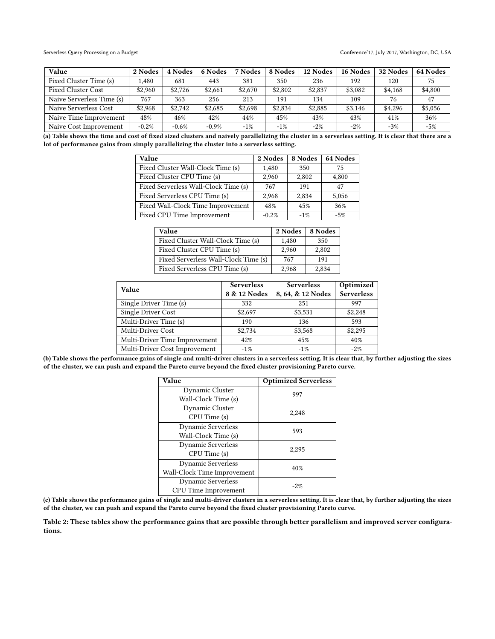<span id="page-6-0"></span>

| <b>Value</b>              | 2 Nodes | 4 Nodes | 6 Nodes | <b>Nodes</b> | 8 Nodes | 12 Nodes | 16 Nodes | 32 Nodes | 64 Nodes |
|---------------------------|---------|---------|---------|--------------|---------|----------|----------|----------|----------|
| Fixed Cluster Time (s)    | 1.480   | 681     | 443     | 381          | 350     | 236      | 192      | 120      | 75       |
| <b>Fixed Cluster Cost</b> | \$2,960 | \$2,726 | \$2.661 | \$2,670      | \$2,802 | \$2,837  | \$3,082  | \$4,168  | \$4,800  |
| Naive Serverless Time (s) | 767     | 363     | 256     | 213          | 191     | 134      | 109      | 76       | 47       |
| Naive Serverless Cost     | \$2,968 | \$2.742 | \$2,685 | \$2,698      | \$2,834 | \$2,885  | \$3,146  | \$4,296  | \$5,056  |
| Naive Time Improvement    | 48%     | 46%     | 42%     | 44%          | 45%     | 43%      | 43%      | 41\%     | 36%      |
| Naive Cost Improvement    | $-0.2%$ | $-0.6%$ | $-0.9%$ | $-1\%$       | $-1\%$  | $-2\%$   | $-2\%$   | $-3%$    | $-5%$    |

(a) Table shows the time and cost of fixed sized clusters and naively parallelizing the cluster in a serverless setting. It is clear that there are a lot of performance gains from simply parallelizing the cluster into a serverless setting.

| <b>Value</b>                         | 2 Nodes | 8 Nodes | 64 Nodes |
|--------------------------------------|---------|---------|----------|
| Fixed Cluster Wall-Clock Time (s)    | 1,480   | 350     | 75       |
| Fixed Cluster CPU Time (s)           | 2,960   | 2,802   | 4,800    |
| Fixed Serverless Wall-Clock Time (s) | 767     | 191     | 47       |
| Fixed Serverless CPU Time (s)        | 2.968   | 2.834   | 5,056    |
| Fixed Wall-Clock Time Improvement    | 48%     | 45%     | 36%      |
| Fixed CPU Time Improvement           | $-0.2%$ | $-1%$   | $-5%$    |

| Value                                | 2 Nodes | 8 Nodes |
|--------------------------------------|---------|---------|
| Fixed Cluster Wall-Clock Time (s)    | 1.480   | 350     |
| Fixed Cluster CPU Time (s)           | 2,960   | 2,802   |
| Fixed Serverless Wall-Clock Time (s) | 767     | 191     |
| Fixed Serverless CPU Time (s)        | 2,968   | 2,834   |

| <b>Value</b>                  | <b>Serverless</b> | <b>Serverless</b> | Optimized         |  |
|-------------------------------|-------------------|-------------------|-------------------|--|
|                               | 8 & 12 Nodes      | 8, 64, & 12 Nodes | <b>Serverless</b> |  |
| Single Driver Time (s)        | 332               | 251               | 997               |  |
| Single Driver Cost            | \$2.697           | \$3,531           | \$2,248           |  |
| Multi-Driver Time (s)         | 190               | 136               | 593               |  |
| Multi-Driver Cost             | \$2,734           | \$3,568           | \$2,295           |  |
| Multi-Driver Time Improvement | 42%               | 45%               | 40%               |  |
| Multi-Driver Cost Improvement | $-1\%$            | $-1\%$            | $-2\%$            |  |

(b) Table shows the performance gains of single and multi-driver clusters in a serverless setting. It is clear that, by further adjusting the sizes of the cluster, we can push and expand the Pareto curve beyond the fixed cluster provisioning Pareto curve.

| Value                       | <b>Optimized Serverless</b> |  |
|-----------------------------|-----------------------------|--|
| Dynamic Cluster             | 997                         |  |
| Wall-Clock Time (s)         |                             |  |
| Dynamic Cluster             | 2,248                       |  |
| CPU Time (s)                |                             |  |
| <b>Dynamic Serverless</b>   | 593                         |  |
| Wall-Clock Time (s)         |                             |  |
| <b>Dynamic Serverless</b>   | 2.295                       |  |
| CPU Time (s)                |                             |  |
| Dynamic Serverless          | 40%                         |  |
| Wall-Clock Time Improvement |                             |  |
| Dynamic Serverless          | $-2. \%$                    |  |
| CPU Time Improvement        |                             |  |

(c) Table shows the performance gains of single and multi-driver clusters in a serverless setting. It is clear that, by further adjusting the sizes of the cluster, we can push and expand the Pareto curve beyond the fixed cluster provisioning Pareto curve.

Table 2: These tables show the performance gains that are possible through better parallelism and improved server configurations.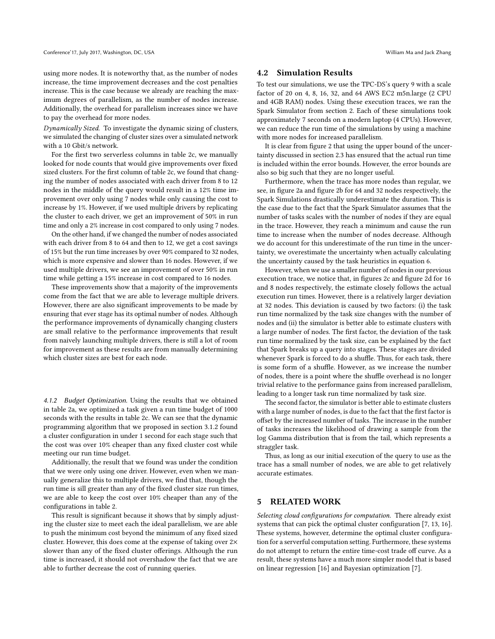using more nodes. It is noteworthy that, as the number of nodes increase, the time improvement decreases and the cost penalties increase. This is the case because we already are reaching the maximum degrees of parallelism, as the number of nodes increase. Additionally, the overhead for parallelism increases since we have to pay the overhead for more nodes.

Dynamically Sized. To investigate the dynamic sizing of clusters, we simulated the changing of cluster sizes over a simulated network with a 10 Gbit/s network.

For the first two serverless columns in table [2c,](#page-6-0) we manually looked for node counts that would give improvements over fixed sized clusters. For the first column of table [2c,](#page-6-0) we found that changing the number of nodes associated with each driver from 8 to 12 nodes in the middle of the query would result in a 12% time improvement over only using 7 nodes while only causing the cost to increase by 1%. However, if we used multiple drivers by replicating the cluster to each driver, we get an improvement of 50% in run time and only a 2% increase in cost compared to only using 7 nodes.

On the other hand, if we changed the number of nodes associated with each driver from 8 to 64 and then to 12, we get a cost savings of 15% but the run time increases by over 90% compared to 32 nodes, which is more expensive and slower than 16 nodes. However, if we used multiple drivers, we see an improvement of over 50% in run time while getting a 15% increase in cost compared to 16 nodes.

These improvements show that a majority of the improvements come from the fact that we are able to leverage multiple drivers. However, there are also significant improvements to be made by ensuring that ever stage has its optimal number of nodes. Although the performance improvements of dynamically changing clusters are small relative to the performance improvements that result from naively launching multiple drivers, there is still a lot of room for improvement as these results are from manually determining which cluster sizes are best for each node.

4.1.2 Budget Optimization. Using the results that we obtained in table [2a,](#page-6-0) we optimized a task given a run time budget of 1000 seconds with the results in table [2c.](#page-6-0) We can see that the dynamic programming algorithm that we proposed in section [3.1.2](#page-4-1) found a cluster configuration in under 1 second for each stage such that the cost was over 10% cheaper than any fixed cluster cost while meeting our run time budget.

Additionally, the result that we found was under the condition that we were only using one driver. However, even when we manually generalize this to multiple drivers, we find that, though the run time is sill greater than any of the fixed cluster size run times, we are able to keep the cost over 10% cheaper than any of the configurations in table [2.](#page-6-0)

This result is significant because it shows that by simply adjusting the cluster size to meet each the ideal parallelism, we are able to push the minimum cost beyond the minimum of any fixed sized cluster. However, this does come at the expense of taking over 2× slower than any of the fixed cluster offerings. Although the run time is increased, it should not overshadow the fact that we are able to further decrease the cost of running queries.

### <span id="page-7-1"></span>4.2 Simulation Results

To test our simulations, we use the TPC-DS's query 9 with a scale factor of 20 on 4, 8, 16, 32, and 64 AWS EC2 m5n.large (2 CPU and 4GB RAM) nodes. Using these execution traces, we ran the Spark Simulator from section [2.](#page-1-1) Each of these simulations took approximately 7 seconds on a modern laptop (4 CPUs). However, we can reduce the run time of the simulations by using a machine with more nodes for increased parallelism.

It is clear from figure [2](#page-8-0) that using the upper bound of the uncertainty discussed in section [2.3](#page-2-1) has ensured that the actual run time is included within the error bounds. However, the error bounds are also so big such that they are no longer useful.

Furthermore, when the trace has more nodes than regular, we see, in figure [2a](#page-8-0) and figure [2b](#page-8-0) for 64 and 32 nodes respectively, the Spark Simulations drastically underestimate the duration. This is the case due to the fact that the Spark Simulator assumes that the number of tasks scales with the number of nodes if they are equal in the trace. However, they reach a minimum and cause the run time to increase when the number of nodes decrease. Although we do account for this underestimate of the run time in the uncertainty, we overestimate the uncertainty when actually calculating the uncertainty caused by the task heuristics in equation [6.](#page-3-3)

However, when we use a smaller number of nodes in our previous execution trace, we notice that, in figures [2c](#page-8-0) and figure [2d](#page-8-0) for 16 and 8 nodes respectively, the estimate closely follows the actual execution run times. However, there is a relatively larger deviation at 32 nodes. This deviation is caused by two factors: (i) the task run time normalized by the task size changes with the number of nodes and (ii) the simulator is better able to estimate clusters with a large number of nodes. The first factor, the deviation of the task run time normalized by the task size, can be explained by the fact that Spark breaks up a query into stages. These stages are divided whenever Spark is forced to do a shuffle. Thus, for each task, there is some form of a shuffle. However, as we increase the number of nodes, there is a point where the shuffle overhead is no longer trivial relative to the performance gains from increased parallelism, leading to a longer task run time normalized by task size.

The second factor, the simulator is better able to estimate clusters with a large number of nodes, is due to the fact that the first factor is offset by the increased number of tasks. The increase in the number of tasks increases the likelihood of drawing a sample from the log Gamma distribution that is from the tail, which represents a straggler task.

Thus, as long as our initial execution of the query to use as the trace has a small number of nodes, we are able to get relatively accurate estimates.

# <span id="page-7-0"></span>5 RELATED WORK

Selecting cloud configurations for computation. There already exist systems that can pick the optimal cluster configuration [\[7,](#page-9-4) [13,](#page-9-5) [16\]](#page-9-6). These systems, however, determine the optimal cluster configuration for a serverful computation setting. Furthermore, these systems do not attempt to return the entire time-cost trade off curve. As a result, these systems have a much more simpler model that is based on linear regression [\[16\]](#page-9-6) and Bayesian optimization [\[7\]](#page-9-4).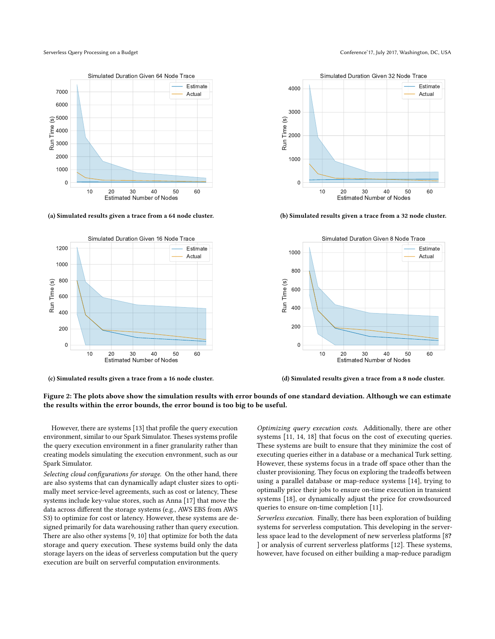<span id="page-8-0"></span>

(a) Simulated results given a trace from a 64 node cluster.



(c) Simulated results given a trace from a 16 node cluster.



(b) Simulated results given a trace from a 32 node cluster.



(d) Simulated results given a trace from a 8 node cluster.

# Figure 2: The plots above show the simulation results with error bounds of one standard deviation. Although we can estimate the results within the error bounds, the error bound is too big to be useful.

However, there are systems [\[13\]](#page-9-5) that profile the query execution environment, similar to our Spark Simulator. Theses systems profile the query execution environment in a finer granularity rather than creating models simulating the execution envronment, such as our Spark Simulator.

Selecting cloud configurations for storage. On the other hand, there are also systems that can dynamically adapt cluster sizes to optimally meet service-level agreements, such as cost or latency, These systems include key-value stores, such as Anna [\[17\]](#page-10-2) that move the data across different the storage systems (e.g., AWS EBS from AWS S3) to optimize for cost or latency. However, these systems are designed primarily for data warehousing rather than query execution. There are also other systems [\[9,](#page-9-10) [10\]](#page-9-11) that optimize for both the data storage and query execution. These systems build only the data storage layers on the ideas of serverless computation but the query execution are built on serverful computation environments.

Optimizing query execution costs. Additionally, there are other systems [\[11,](#page-9-12) [14,](#page-9-13) [18\]](#page-10-3) that focus on the cost of executing queries. These systems are built to ensure that they minimize the cost of executing queries either in a database or a mechanical Turk setting. However, these systems focus in a trade off space other than the cluster provisioning. They focus on exploring the tradeoffs between using a parallel database or map-reduce systems [\[14\]](#page-9-13), trying to optimally price their jobs to ensure on-time execution in transient systems [\[18\]](#page-10-3), or dynamically adjust the price for crowdsourced queries to ensure on-time completion [\[11\]](#page-9-12).

Serverless execution. Finally, there has been exploration of building systems for serverless computation. This developing in the serverless space lead to the development of new serverless platforms [\[8](#page-9-14)? ] or analysis of current serverless platforms [\[12\]](#page-9-15). These systems, however, have focused on either building a map-reduce paradigm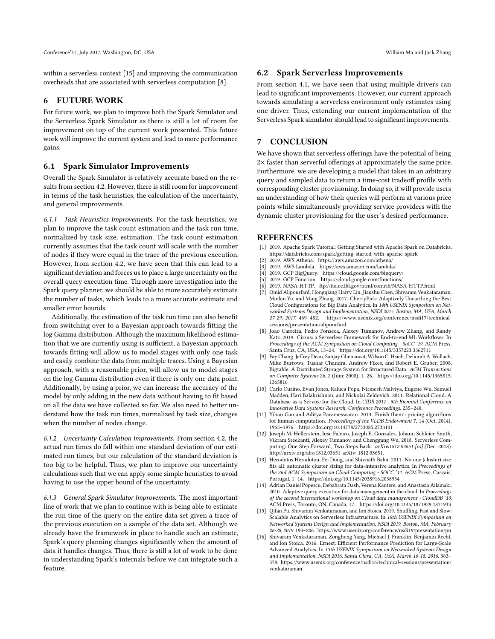within a serverless context [\[15\]](#page-9-16) and improving the communication overheads that are associated with serverless computation [\[8\]](#page-9-14).

# <span id="page-9-7"></span>6 FUTURE WORK

For future work, we plan to improve both the Spark Simulator and the Serverless Spark Simulator as there is still a lot of room for improvement on top of the current work presented. This future work will improve the current system and lead to more performance gains.

### 6.1 Spark Simulator Improvements

Overall the Spark Simulator is relatively accurate based on the results from section [4.2.](#page-7-1) However, there is still room for improvement in terms of the task heuristics, the calculation of the uncertainty, and general improvements.

6.1.1 Task Heuristics Improvements. For the task heuristics, we plan to improve the task count estimation and the task run time, normalized by task size, estimation. The task count estimation currently assumes that the task count will scale with the number of nodes if they were equal in the trace of the previous execution. However, from section [4.2,](#page-7-1) we have seen that this can lead to a significant deviation and forces us to place a large uncertainty on the overall query execution time. Through more investigation into the Spark query planner, we should be able to more accurately estimate the number of tasks, which leads to a more accurate estimate and smaller error bounds.

Additionally, the estimation of the task run time can also benefit from switching over to a Bayesian approach towards fitting the log Gamma distribution. Although the maximum likelihood estimation that we are currently using is sufficient, a Bayesian approach towards fitting will allow us to model stages with only one task and easily combine the data from multiple traces. Using a Bayesian approach, with a reasonable prior, will allow us to model stages on the log Gamma distribution even if there is only one data point. Additionally, by using a prior, we can increase the accuracy of the model by only adding in the new data without having to fit based on all the data we have collected so far. We also need to better understand how the task run times, normalized by task size, changes when the number of nodes change.

6.1.2 Uncertainty Calculation Improvements. From section [4.2,](#page-7-1) the actual run times do fall within one standard deviation of our estimated run times, but our calculation of the standard deviation is too big to be helpful. Thus, we plan to improve our uncertainty calculations such that we can apply some simple heuristics to avoid having to use the upper bound of the uncertainty.

6.1.3 General Spark Simulator Improvements. The most important line of work that we plan to continue with is being able to estimate the run time of the query on the entire data set given a trace of the previous execution on a sample of the data set. Although we already have the framework in place to handle such an estimate, Spark's query planning changes significantly when the amount of data it handles changes. Thus, there is still a lot of work to be done in understanding Spark's internals before we can integrate such a feature.

### 6.2 Spark Serverless Improvements

From section [4.1,](#page-5-3) we have seen that using multiple drivers can lead to significant improvements. However, our current approach towards simulating a serverless environment only estimates using one driver. Thus, extending our current implementation of the Serverless Spark simulator should lead to significant improvements.

### 7 CONCLUSION

We have shown that serverless offerings have the potential of being 2× faster than serverful offerings at approximately the same price. Furthermore, we are developing a model that takes in an arbitrary query and sampled data to return a time-cost tradeoff profile with corresponding cluster provisioning. In doing so, it will provide users an understanding of how their queries will perform at various price points while simultaneously providing service providers with the dynamic cluster provisioning for the user's desired performance.

### REFERENCES

- <span id="page-9-8"></span>[1] 2019. Apache Spark Tutorial: Getting Started with Apache Spark on Databricks. <https://databricks.com/spark/getting-started-with-apache-spark>
- <span id="page-9-0"></span>[2] 2019. AWS Athena.<https://aws.amazon.com/athena/>
- <span id="page-9-2"></span>[3] 2019. AWS Lambda.<https://aws.amazon.com/lambda/>
- <span id="page-9-1"></span>[4] 2019. GCP BigQuery.<https://cloud.google.com/bigquery/>
- <span id="page-9-3"></span>[5] 2019. GCP Function.<https://cloud.google.com/functions/>
- <span id="page-9-9"></span>[6] 2019. NASA-HTTP.<ftp://ita.ee.lbl.gov/html/contrib/NASA-HTTP.html> [7] Omid Alipourfard, Hongqiang Harry Liu, Jianshu Chen, Shivaram Venkataraman,
- <span id="page-9-4"></span>Minlan Yu, and Ming Zhang. 2017. CherryPick: Adaptively Unearthing the Best Cloud Configurations for Big Data Analytics. In 14th USENIX Symposium on Networked Systems Design and Implementation, NSDI 2017, Boston, MA, USA, March 27-29, 2017. 469–482. [https://www.usenix.org/conference/nsdi17/technical](https://www.usenix.org/conference/nsdi17/technical-sessions/presentation/alipourfard)[sessions/presentation/alipourfard](https://www.usenix.org/conference/nsdi17/technical-sessions/presentation/alipourfard)
- <span id="page-9-14"></span>[8] Joao Carreira, Pedro Fonseca, Alexey Tumanov, Andrew Zhang, and Randy Katz. 2019. Cirrus: a Serverless Framework for End-to-end ML Workflows. In Proceedings of the ACM Symposium on Cloud Computing - SoCC '19. ACM Press, Santa Cruz, CA, USA, 13–24.<https://doi.org/10.1145/3357223.3362711>
- <span id="page-9-10"></span>[9] Fay Chang, Jeffrey Dean, Sanjay Ghemawat, Wilson C. Hsieh, Deborah A. Wallach, Mike Burrows, Tushar Chandra, Andrew Fikes, and Robert E. Gruber. 2008. Bigtable: A Distributed Storage System for Structured Data. ACM Transactions on Computer Systems 26, 2 (June 2008), 1–26. [https://doi.org/10.1145/1365815.](https://doi.org/10.1145/1365815.1365816) [1365816](https://doi.org/10.1145/1365815.1365816)
- <span id="page-9-11"></span>[10] Carlo Curino, Evan Jones, Raluca Popa, Nirmesh Malviya, Eugene Wu, Samuel Madden, Hari Balakrishnan, and Nickolai Zeldovich. 2011. Relational Cloud: A Database-as-a-Service for the Cloud. In CIDR 2011 - 5th Biennial Conference on Innovative Data Systems Research, Conference Proceedings. 235–240.
- <span id="page-9-12"></span>[11] Yihan Gao and Aditya Parameswaran. 2014. Finish them!: pricing algorithms for human computation. Proceedings of the VLDB Endowment 7, 14 (Oct. 2014), 1965–1976.<https://doi.org/10.14778/2733085.2733101>
- <span id="page-9-15"></span>[12] Joseph M. Hellerstein, Jose Faleiro, Joseph E. Gonzalez, Johann Schleier-Smith, Vikram Sreekanti, Alexey Tumanov, and Chenggang Wu. 2018. Serverless Computing: One Step Forward, Two Steps Back. arXiv:1812.03651 [cs] (Dec. 2018). <http://arxiv.org/abs/1812.03651> arXiv: 1812.03651.
- <span id="page-9-5"></span>[13] Herodotos Herodotou, Fei Dong, and Shivnath Babu. 2011. No one (cluster) size fits all: automatic cluster sizing for data-intensive analytics. In Proceedings of the 2nd ACM Symposium on Cloud Computing - SOCC '11. ACM Press, Cascais, Portugal, 1–14.<https://doi.org/10.1145/2038916.2038934>
- <span id="page-9-13"></span>[14] Adrian Daniel Popescu, Debabrata Dash, Verena Kantere, and Anastasia Ailamaki. 2010. Adaptive query execution for data management in the cloud. In Proceedings of the second international workshop on Cloud data management - CloudDB '10. ACM Press, Toronto, ON, Canada, 17.<https://doi.org/10.1145/1871929.1871933>
- <span id="page-9-16"></span>[15] Qifan Pu, Shivaram Venkataraman, and Ion Stoica. 2019. Shuffling, Fast and Slow: Scalable Analytics on Serverless Infrastructure. In 16th USENIX Symposium on Networked Systems Design and Implementation, NSDI 2019, Boston, MA, February 26-28, 2019. 193–206.<https://www.usenix.org/conference/nsdi19/presentation/pu>
- <span id="page-9-6"></span>[16] Shivaram Venkataraman, Zongheng Yang, Michael J. Franklin, Benjamin Recht, and Ion Stoica. 2016. Ernest: Efficient Performance Prediction for Large-Scale Advanced Analytics. In 13th USENIX Symposium on Networked Systems Design and Implementation, NSDI 2016, Santa Clara, CA, USA, March 16-18, 2016. 363– 378. [https://www.usenix.org/conference/nsdi16/technical-sessions/presentation/](https://www.usenix.org/conference/nsdi16/technical-sessions/presentation/venkataraman) [venkataraman](https://www.usenix.org/conference/nsdi16/technical-sessions/presentation/venkataraman)